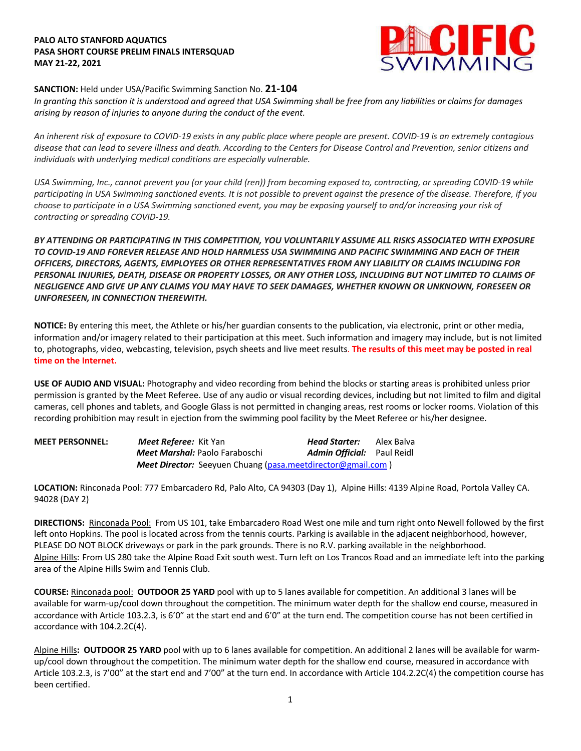## **PALO ALTO STANFORD AQUATICS PASA SHORT COURSE PRELIM FINALS INTERSQUAD MAY 21-22, 2021**



#### **SANCTION:** Held under USA/Pacific Swimming Sanction No. **21-104**

*In granting this sanction it is understood and agreed that USA Swimming shall be free from any liabilities or claims for damages arising by reason of injuries to anyone during the conduct of the event.* 

*An inherent risk of exposure to COVID-19 exists in any public place where people are present. COVID-19 is an extremely contagious disease that can lead to severe illness and death. According to the Centers for Disease Control and Prevention, senior citizens and individuals with underlying medical conditions are especially vulnerable.*

*USA Swimming, Inc., cannot prevent you (or your child (ren)) from becoming exposed to, contracting, or spreading COVID-19 while participating in USA Swimming sanctioned events. It is not possible to prevent against the presence of the disease. Therefore, if you choose to participate in a USA Swimming sanctioned event, you may be exposing yourself to and/or increasing your risk of contracting or spreading COVID-19.*

*BY ATTENDING OR PARTICIPATING IN THIS COMPETITION, YOU VOLUNTARILY ASSUME ALL RISKS ASSOCIATED WITH EXPOSURE TO COVID-19 AND FOREVER RELEASE AND HOLD HARMLESS USA SWIMMING AND PACIFIC SWIMMING AND EACH OF THEIR OFFICERS, DIRECTORS, AGENTS, EMPLOYEES OR OTHER REPRESENTATIVES FROM ANY LIABILITY OR CLAIMS INCLUDING FOR PERSONAL INJURIES, DEATH, DISEASE OR PROPERTY LOSSES, OR ANY OTHER LOSS, INCLUDING BUT NOT LIMITED TO CLAIMS OF NEGLIGENCE AND GIVE UP ANY CLAIMS YOU MAY HAVE TO SEEK DAMAGES, WHETHER KNOWN OR UNKNOWN, FORESEEN OR UNFORESEEN, IN CONNECTION THEREWITH.*

**NOTICE:** By entering this meet, the Athlete or his/her guardian consents to the publication, via electronic, print or other media, information and/or imagery related to their participation at this meet. Such information and imagery may include, but is not limited to, photographs, video, webcasting, television, psych sheets and live meet results. **The results of this meet may be posted in real time on the Internet.**

**USE OF AUDIO AND VISUAL:** Photography and video recording from behind the blocks or starting areas is prohibited unless prior permission is granted by the Meet Referee. Use of any audio or visual recording devices, including but not limited to film and digital cameras, cell phones and tablets, and Google Glass is not permitted in changing areas, rest rooms or locker rooms. Violation of this recording prohibition may result in ejection from the swimming pool facility by the Meet Referee or his/her designee.

| <b>MEET PERSONNEL:</b> | Meet Referee: Kit Yan                                       | Head Starter:                     | Alex Balva |
|------------------------|-------------------------------------------------------------|-----------------------------------|------------|
|                        | <b>Meet Marshal:</b> Paolo Faraboschi                       | <b>Admin Official:</b> Paul Reidl |            |
|                        | Meet Director: Seeyuen Chuang (pasa.meetdirector@gmail.com) |                                   |            |

**LOCATION:** Rinconada Pool: 777 Embarcadero Rd, Palo Alto, CA 94303 (Day 1), Alpine Hills: 4139 Alpine Road, Portola Valley CA. 94028 (DAY 2)

**DIRECTIONS:** Rinconada Pool:From US 101, take Embarcadero Road West one mile and turn right onto Newell followed by the first left onto Hopkins. The pool is located across from the tennis courts. Parking is available in the adjacent neighborhood, however, PLEASE DO NOT BLOCK driveways or park in the park grounds. There is no R.V. parking available in the neighborhood. Alpine Hills: From US 280 take the Alpine Road Exit south west. Turn left on Los Trancos Road and an immediate left into the parking area of the Alpine Hills Swim and Tennis Club.

**COURSE:** Rinconada pool: **OUTDOOR 25 YARD** pool with up to 5 lanes available for competition. An additional 3 lanes will be available for warm-up/cool down throughout the competition. The minimum water depth for the shallow end course, measured in accordance with Article 103.2.3, is 6'0" at the start end and 6'0" at the turn end. The competition course has not been certified in accordance with 104.2.2C(4).

Alpine Hills**: OUTDOOR 25 YARD** pool with up to 6 lanes available for competition. An additional 2 lanes will be available for warmup/cool down throughout the competition. The minimum water depth for the shallow end course, measured in accordance with Article 103.2.3, is 7'00" at the start end and 7'00" at the turn end. In accordance with Article 104.2.2C(4) the competition course has been certified.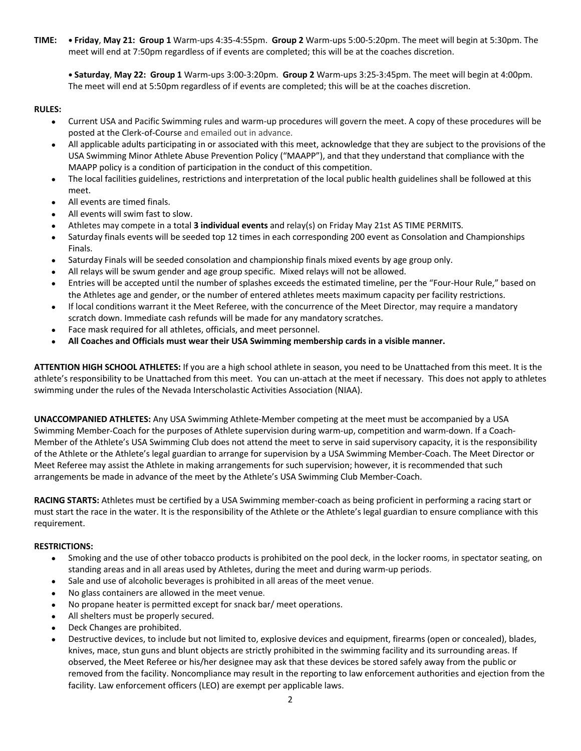**TIME: • Friday**, **May 21: Group 1** Warm-ups 4:35-4:55pm. **Group 2** Warm-ups 5:00-5:20pm. The meet will begin at 5:30pm. The meet will end at 7:50pm regardless of if events are completed; this will be at the coaches discretion.

**• Saturday**, **May 22: Group 1** Warm-ups 3:00-3:20pm. **Group 2** Warm-ups 3:25-3:45pm. The meet will begin at 4:00pm. The meet will end at 5:50pm regardless of if events are completed; this will be at the coaches discretion.

## **RULES:**

- Current USA and Pacific Swimming rules and warm-up procedures will govern the meet. A copy of these procedures will be posted at the Clerk-of-Course and emailed out in advance.
- All applicable adults participating in or associated with this meet, acknowledge that they are subject to the provisions of the USA Swimming Minor Athlete Abuse Prevention Policy ("MAAPP"), and that they understand that compliance with the MAAPP policy is a condition of participation in the conduct of this competition.
- The local facilities guidelines, restrictions and interpretation of the local public health guidelines shall be followed at this meet.
- All events are timed finals.
- All events will swim fast to slow.
- Athletes may compete in a total **3 individual events** and relay(s) on Friday May 21st AS TIME PERMITS.
- Saturday finals events will be seeded top 12 times in each corresponding 200 event as Consolation and Championships Finals.
- Saturday Finals will be seeded consolation and championship finals mixed events by age group only.
- All relays will be swum gender and age group specific. Mixed relays will not be allowed.
- Entries will be accepted until the number of splashes exceeds the estimated timeline, per the "Four-Hour Rule," based on the Athletes age and gender, or the number of entered athletes meets maximum capacity per facility restrictions.
- If local conditions warrant it the Meet Referee, with the concurrence of the Meet Director, may require a mandatory scratch down. Immediate cash refunds will be made for any mandatory scratches.
- Face mask required for all athletes, officials, and meet personnel.
- **All Coaches and Officials must wear their USA Swimming membership cards in a visible manner.**

**ATTENTION HIGH SCHOOL ATHLETES:** If you are a high school athlete in season, you need to be Unattached from this meet. It is the athlete's responsibility to be Unattached from this meet. You can un-attach at the meet if necessary. This does not apply to athletes swimming under the rules of the Nevada Interscholastic Activities Association (NIAA).

**UNACCOMPANIED ATHLETES:** Any USA Swimming Athlete-Member competing at the meet must be accompanied by a USA Swimming Member-Coach for the purposes of Athlete supervision during warm-up, competition and warm-down. If a Coach-Member of the Athlete's USA Swimming Club does not attend the meet to serve in said supervisory capacity, it is the responsibility of the Athlete or the Athlete's legal guardian to arrange for supervision by a USA Swimming Member-Coach. The Meet Director or Meet Referee may assist the Athlete in making arrangements for such supervision; however, it is recommended that such arrangements be made in advance of the meet by the Athlete's USA Swimming Club Member-Coach.

**RACING STARTS:** Athletes must be certified by a USA Swimming member-coach as being proficient in performing a racing start or must start the race in the water. It is the responsibility of the Athlete or the Athlete's legal guardian to ensure compliance with this requirement.

## **RESTRICTIONS:**

- Smoking and the use of other tobacco products is prohibited on the pool deck, in the locker rooms, in spectator seating, on standing areas and in all areas used by Athletes, during the meet and during warm-up periods.
- Sale and use of alcoholic beverages is prohibited in all areas of the meet venue.
- No glass containers are allowed in the meet venue.
- No propane heater is permitted except for snack bar/ meet operations.
- All shelters must be properly secured.
- Deck Changes are prohibited.
- Destructive devices, to include but not limited to, explosive devices and equipment, firearms (open or concealed), blades, knives, mace, stun guns and blunt objects are strictly prohibited in the swimming facility and its surrounding areas. If observed, the Meet Referee or his/her designee may ask that these devices be stored safely away from the public or removed from the facility. Noncompliance may result in the reporting to law enforcement authorities and ejection from the facility. Law enforcement officers (LEO) are exempt per applicable laws.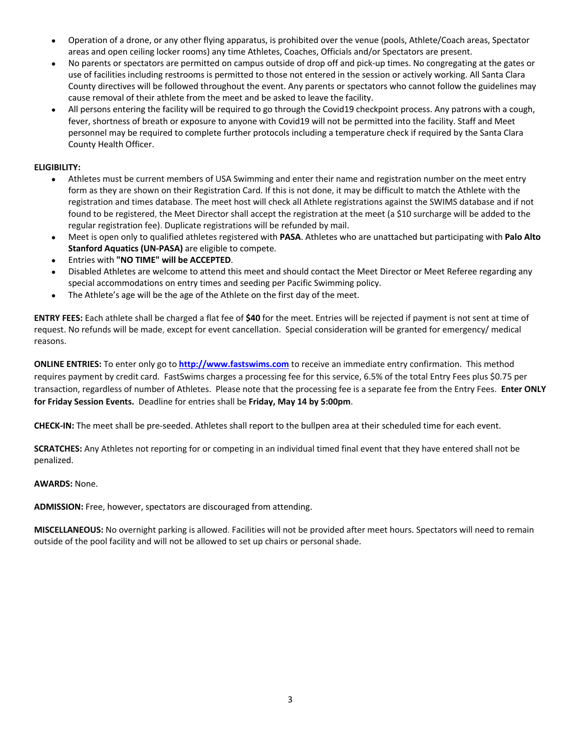- Operation of a drone, or any other flying apparatus, is prohibited over the venue (pools, Athlete/Coach areas, Spectator areas and open ceiling locker rooms) any time Athletes, Coaches, Officials and/or Spectators are present.
- No parents or spectators are permitted on campus outside of drop off and pick-up times. No congregating at the gates or use of facilities including restrooms is permitted to those not entered in the session or actively working. All Santa Clara County directives will be followed throughout the event. Any parents or spectators who cannot follow the guidelines may cause removal of their athlete from the meet and be asked to leave the facility.
- All persons entering the facility will be required to go through the Covid19 checkpoint process. Any patrons with a cough, fever, shortness of breath or exposure to anyone with Covid19 will not be permitted into the facility. Staff and Meet personnel may be required to complete further protocols including a temperature check if required by the Santa Clara County Health Officer.

# **ELIGIBILITY:**

- Athletes must be current members of USA Swimming and enter their name and registration number on the meet entry form as they are shown on their Registration Card. If this is not done, it may be difficult to match the Athlete with the registration and times database. The meet host will check all Athlete registrations against the SWIMS database and if not found to be registered, the Meet Director shall accept the registration at the meet (a \$10 surcharge will be added to the regular registration fee). Duplicate registrations will be refunded by mail.
- Meet is open only to qualified athletes registered with **PASA**. Athletes who are unattached but participating with **Palo Alto Stanford Aquatics (UN-PASA)** are eligible to compete.
- Entries with "NO TIME" will be ACCEPTED.
- Disabled Athletes are welcome to attend this meet and should contact the Meet Director or Meet Referee regarding any special accommodations on entry times and seeding per Pacific Swimming policy.
- The Athlete's age will be the age of the Athlete on the first day of the meet.

**ENTRY FEES:** Each athlete shall be charged a flat fee of **\$40** for the meet. Entries will be rejected if payment is not sent at time of request. No refunds will be made, except for event cancellation. Special consideration will be granted for emergency/ medical reasons.

**ONLINE ENTRIES:** To enter only go to **http://www.fastswims.com** to receive an immediate entry confirmation. This method requires payment by credit card. FastSwims charges a processing fee for this service, 6.5% of the total Entry Fees plus \$0.75 per transaction, regardless of number of Athletes. Please note that the processing fee is a separate fee from the Entry Fees. **Enter ONLY for Friday Session Events.** Deadline for entries shall be **Friday, May 14 by 5:00pm**.

**CHECK-IN:** The meet shall be pre-seeded. Athletes shall report to the bullpen area at their scheduled time for each event.

**SCRATCHES:** Any Athletes not reporting for or competing in an individual timed final event that they have entered shall not be penalized.

## **AWARDS:** None.

**ADMISSION:** Free, however, spectators are discouraged from attending.

**MISCELLANEOUS:** No overnight parking is allowed. Facilities will not be provided after meet hours. Spectators will need to remain outside of the pool facility and will not be allowed to set up chairs or personal shade.